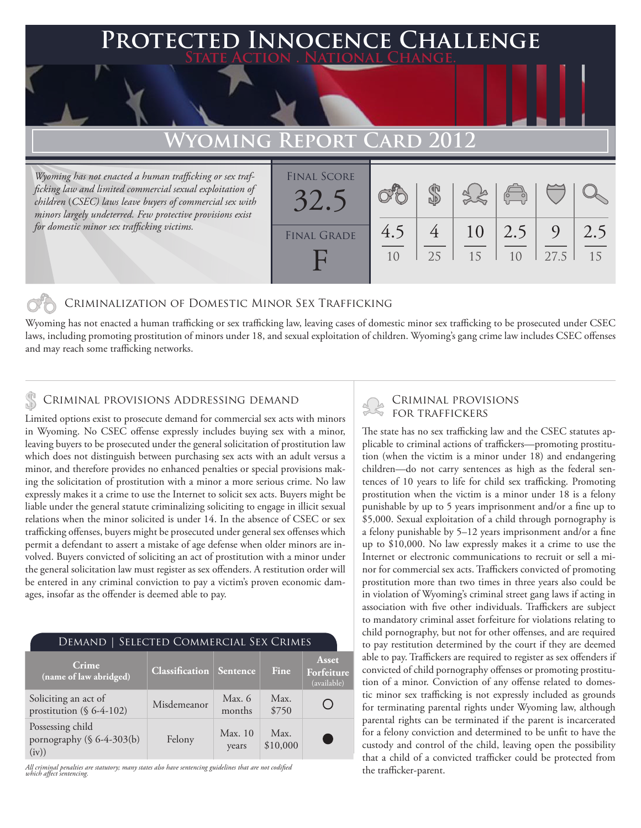# **PTED INNOCENCE CHALLENGE State Action . National Change. Wyoming Report Card 2012**

*Wyoming has not enacted a human trafficking or sex trafficking law and limited commercial sexual exploitation of children* (*CSEC) laws leave buyers of commercial sex with minors largely undeterred. Few protective provisions exist for domestic minor sex trafficking victims.*

| <b>FINAL SCORE</b> |           |    |          | $\sqrt{\frac{1}{10}}$ |           |           |
|--------------------|-----------|----|----------|-----------------------|-----------|-----------|
| <b>FINAL GRADE</b> | 4.5<br>10 | 25 | 10<br>15 | 2.5<br>10             | 9<br>27.5 | 2.5<br>15 |

### Criminalization of Domestic Minor Sex Trafficking

Wyoming has not enacted a human trafficking or sex trafficking law, leaving cases of domestic minor sex trafficking to be prosecuted under CSEC laws, including promoting prostitution of minors under 18, and sexual exploitation of children. Wyoming's gang crime law includes CSEC offenses and may reach some trafficking networks.

## CRIMINAL PROVISIONS ADDRESSING DEMAND<br>
FOR TRAFFICKERS

Limited options exist to prosecute demand for commercial sex acts with minors in Wyoming. No CSEC offense expressly includes buying sex with a minor, leaving buyers to be prosecuted under the general solicitation of prostitution law which does not distinguish between purchasing sex acts with an adult versus a minor, and therefore provides no enhanced penalties or special provisions making the solicitation of prostitution with a minor a more serious crime. No law expressly makes it a crime to use the Internet to solicit sex acts. Buyers might be liable under the general statute criminalizing soliciting to engage in illicit sexual relations when the minor solicited is under 14. In the absence of CSEC or sex trafficking offenses, buyers might be prosecuted under general sex offenses which permit a defendant to assert a mistake of age defense when older minors are involved. Buyers convicted of soliciting an act of prostitution with a minor under the general solicitation law must register as sex offenders. A restitution order will be entered in any criminal conviction to pay a victim's proven economic damages, insofar as the offender is deemed able to pay.

| DEMAND   SELECTED COMMERCIAL SEX CRIMES                    |                                |                  |                  |                                    |  |  |  |  |
|------------------------------------------------------------|--------------------------------|------------------|------------------|------------------------------------|--|--|--|--|
| <b>Crime</b><br>(name of law abridged)                     | <b>Classification</b> Sentence |                  | Fine             | Asset<br>Forfeiture<br>(available) |  |  |  |  |
| Soliciting an act of<br>prostitution (§ 6-4-102)           | Misdemeanor                    | Max. 6<br>months | Max.<br>\$750    |                                    |  |  |  |  |
| Possessing child<br>pornography $(\S 6-4-303(b))$<br>(iv)) | Felony                         | Max.10<br>years  | Max.<br>\$10,000 | C.                                 |  |  |  |  |

*All criminal penalties are statutory; many states also have sentencing guidelines that are not codified which affect sentencing.* 

The state has no sex trafficking law and the CSEC statutes applicable to criminal actions of traffickers—promoting prostitution (when the victim is a minor under 18) and endangering children—do not carry sentences as high as the federal sentences of 10 years to life for child sex trafficking. Promoting prostitution when the victim is a minor under 18 is a felony punishable by up to 5 years imprisonment and/or a fine up to \$5,000. Sexual exploitation of a child through pornography is a felony punishable by 5–12 years imprisonment and/or a fine up to \$10,000. No law expressly makes it a crime to use the Internet or electronic communications to recruit or sell a minor for commercial sex acts. Traffickers convicted of promoting prostitution more than two times in three years also could be in violation of Wyoming's criminal street gang laws if acting in association with five other individuals. Traffickers are subject to mandatory criminal asset forfeiture for violations relating to child pornography, but not for other offenses, and are required to pay restitution determined by the court if they are deemed able to pay. Traffickers are required to register as sex offenders if convicted of child pornography offenses or promoting prostitution of a minor. Conviction of any offense related to domestic minor sex trafficking is not expressly included as grounds for terminating parental rights under Wyoming law, although parental rights can be terminated if the parent is incarcerated for a felony conviction and determined to be unfit to have the custody and control of the child, leaving open the possibility that a child of a convicted trafficker could be protected from the trafficker-parent.